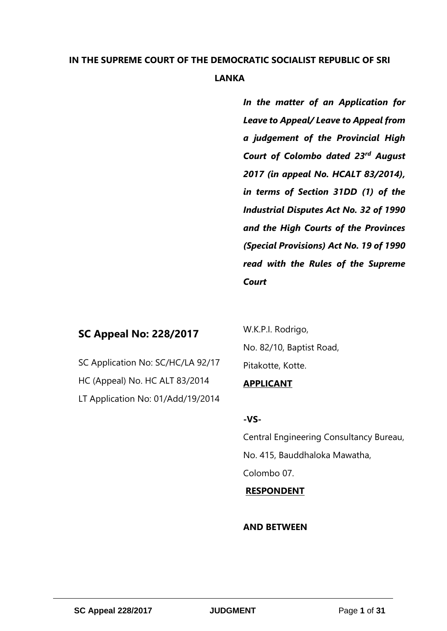# **IN THE SUPREME COURT OF THE DEMOCRATIC SOCIALIST REPUBLIC OF SRI LANKA**

*In the matter of an Application for Leave to Appeal/ Leave to Appeal from a judgement of the Provincial High Court of Colombo dated 23rd August 2017 (in appeal No. HCALT 83/2014), in terms of Section 31DD (1) of the Industrial Disputes Act No. 32 of 1990 and the High Courts of the Provinces (Special Provisions) Act No. 19 of 1990 read with the Rules of the Supreme Court*

# **SC Appeal No: 228/2017**

SC Application No: SC/HC/LA 92/17 HC (Appeal) No. HC ALT 83/2014 LT Application No: 01/Add/19/2014 W.K.P.I. Rodrigo, No. 82/10, Baptist Road, Pitakotte, Kotte.

### **APPLICANT**

### **-VS-**

Central Engineering Consultancy Bureau, No. 415, Bauddhaloka Mawatha, Colombo 07.

# **RESPONDENT**

### **AND BETWEEN**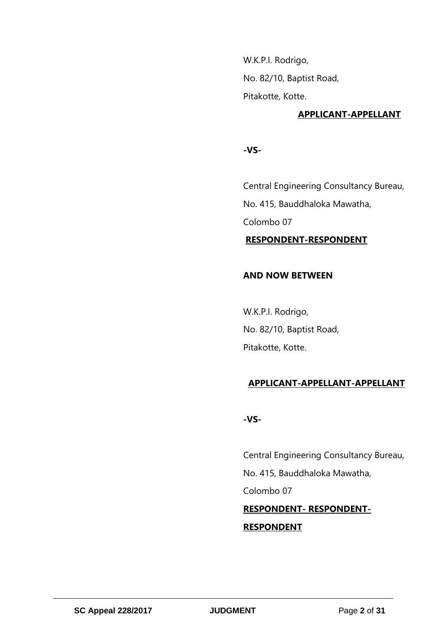W.K.P.I. Rodrigo, No. 82/10, Baptist Road, Pitakotte, Kotte.

### **APPLICANT-APPELLANT**

**-VS-**

Central Engineering Consultancy Bureau, No. 415, Bauddhaloka Mawatha, Colombo 07

 **RESPONDENT-RESPONDENT** 

### **AND NOW BETWEEN**

W.K.P.I. Rodrigo, No. 82/10, Baptist Road, Pitakotte, Kotte.

### **APPLICANT-APPELLANT-APPELLANT**

**-VS-**

Central Engineering Consultancy Bureau, No. 415, Bauddhaloka Mawatha, Colombo 07 **RESPONDENT- RESPONDENT-RESPONDENT**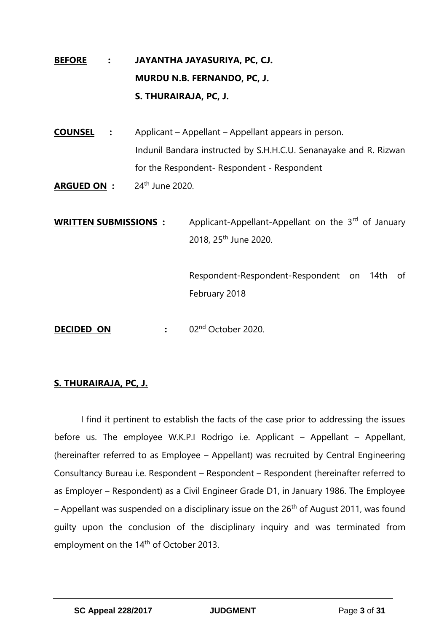# **BEFORE : JAYANTHA JAYASURIYA, PC, CJ. MURDU N.B. FERNANDO, PC, J. S. THURAIRAJA, PC, J.**

**COUNSEL :** Applicant – Appellant – Appellant appears in person. Indunil Bandara instructed by S.H.H.C.U. Senanayake and R. Rizwan for the Respondent- Respondent - Respondent

**ARGUED ON :** 24<sup>th</sup> June 2020.

**WRITTEN SUBMISSIONS :** Applicant-Appellant-Appellant on the 3<sup>rd</sup> of January 2018, 25th June 2020.

> Respondent-Respondent-Respondent on 14th of February 2018

**DECIDED ON :** 02<sup>nd</sup> October 2020.

# **S. THURAIRAJA, PC, J.**

I find it pertinent to establish the facts of the case prior to addressing the issues before us. The employee W.K.P.I Rodrigo i.e. Applicant – Appellant – Appellant, (hereinafter referred to as Employee – Appellant) was recruited by Central Engineering Consultancy Bureau i.e. Respondent – Respondent – Respondent (hereinafter referred to as Employer – Respondent) as a Civil Engineer Grade D1, in January 1986. The Employee – Appellant was suspended on a disciplinary issue on the  $26<sup>th</sup>$  of August 2011, was found guilty upon the conclusion of the disciplinary inquiry and was terminated from employment on the 14<sup>th</sup> of October 2013.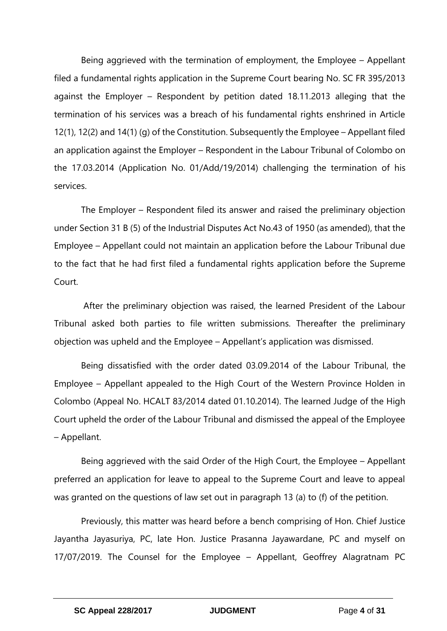Being aggrieved with the termination of employment, the Employee – Appellant filed a fundamental rights application in the Supreme Court bearing No. SC FR 395/2013 against the Employer – Respondent by petition dated 18.11.2013 alleging that the termination of his services was a breach of his fundamental rights enshrined in Article 12(1), 12(2) and 14(1) (g) of the Constitution. Subsequently the Employee – Appellant filed an application against the Employer – Respondent in the Labour Tribunal of Colombo on the 17.03.2014 (Application No. 01/Add/19/2014) challenging the termination of his services.

The Employer – Respondent filed its answer and raised the preliminary objection under Section 31 B (5) of the Industrial Disputes Act No.43 of 1950 (as amended), that the Employee – Appellant could not maintain an application before the Labour Tribunal due to the fact that he had first filed a fundamental rights application before the Supreme Court.

After the preliminary objection was raised, the learned President of the Labour Tribunal asked both parties to file written submissions. Thereafter the preliminary objection was upheld and the Employee – Appellant's application was dismissed.

Being dissatisfied with the order dated 03.09.2014 of the Labour Tribunal, the Employee – Appellant appealed to the High Court of the Western Province Holden in Colombo (Appeal No. HCALT 83/2014 dated 01.10.2014). The learned Judge of the High Court upheld the order of the Labour Tribunal and dismissed the appeal of the Employee – Appellant.

Being aggrieved with the said Order of the High Court, the Employee – Appellant preferred an application for leave to appeal to the Supreme Court and leave to appeal was granted on the questions of law set out in paragraph 13 (a) to (f) of the petition.

Previously, this matter was heard before a bench comprising of Hon. Chief Justice Jayantha Jayasuriya, PC, late Hon. Justice Prasanna Jayawardane, PC and myself on 17/07/2019. The Counsel for the Employee – Appellant, Geoffrey Alagratnam PC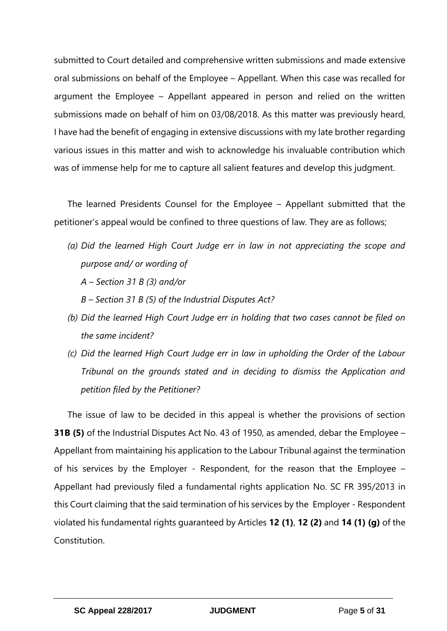submitted to Court detailed and comprehensive written submissions and made extensive oral submissions on behalf of the Employee – Appellant. When this case was recalled for argument the Employee – Appellant appeared in person and relied on the written submissions made on behalf of him on 03/08/2018. As this matter was previously heard, I have had the benefit of engaging in extensive discussions with my late brother regarding various issues in this matter and wish to acknowledge his invaluable contribution which was of immense help for me to capture all salient features and develop this judgment.

The learned Presidents Counsel for the Employee – Appellant submitted that the petitioner's appeal would be confined to three questions of law. They are as follows;

- *(a) Did the learned High Court Judge err in law in not appreciating the scope and purpose and/ or wording of* 
	- *A – Section 31 B (3) and/or*
	- *B – Section 31 B (5) of the Industrial Disputes Act?*
- *(b) Did the learned High Court Judge err in holding that two cases cannot be filed on the same incident?*
- *(c) Did the learned High Court Judge err in law in upholding the Order of the Labour Tribunal on the grounds stated and in deciding to dismiss the Application and petition filed by the Petitioner?*

The issue of law to be decided in this appeal is whether the provisions of section **31B (5)** of the Industrial Disputes Act No. 43 of 1950, as amended, debar the Employee – Appellant from maintaining his application to the Labour Tribunal against the termination of his services by the Employer - Respondent, for the reason that the Employee – Appellant had previously filed a fundamental rights application No. SC FR 395/2013 in this Court claiming that the said termination of his services by the Employer - Respondent violated his fundamental rights guaranteed by Articles **12 (1)**, **12 (2)** and **14 (1) (g)** of the Constitution.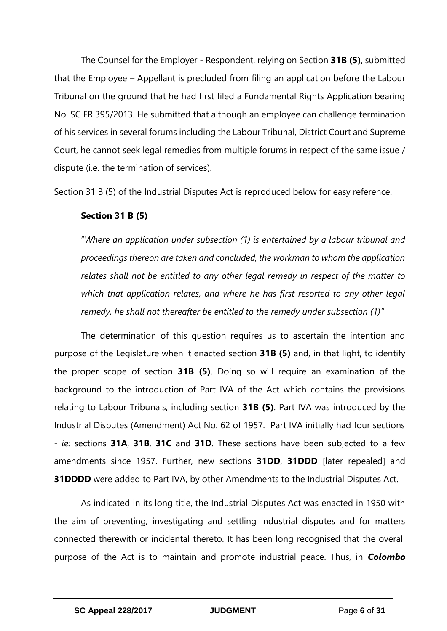The Counsel for the Employer - Respondent, relying on Section **31B (5)**, submitted that the Employee – Appellant is precluded from filing an application before the Labour Tribunal on the ground that he had first filed a Fundamental Rights Application bearing No. SC FR 395/2013. He submitted that although an employee can challenge termination of his services in several forums including the Labour Tribunal, District Court and Supreme Court, he cannot seek legal remedies from multiple forums in respect of the same issue / dispute (i.e. the termination of services).

Section 31 B (5) of the Industrial Disputes Act is reproduced below for easy reference.

# **Section 31 B (5)**

"*Where an application under subsection (1) is entertained by a labour tribunal and proceedings thereon are taken and concluded, the workman to whom the application relates shall not be entitled to any other legal remedy in respect of the matter to which that application relates, and where he has first resorted to any other legal remedy, he shall not thereafter be entitled to the remedy under subsection (1)"*

The determination of this question requires us to ascertain the intention and purpose of the Legislature when it enacted section **31B (5)** and, in that light, to identify the proper scope of section **31B (5)**. Doing so will require an examination of the background to the introduction of Part IVA of the Act which contains the provisions relating to Labour Tribunals, including section **31B (5)**. Part IVA was introduced by the Industrial Disputes (Amendment) Act No. 62 of 1957. Part IVA initially had four sections - *ie:* sections **31A**, **31B**, **31C** and **31D**. These sections have been subjected to a few amendments since 1957. Further, new sections **31DD**, **31DDD** [later repealed] and **31DDDD** were added to Part IVA, by other Amendments to the Industrial Disputes Act.

As indicated in its long title, the Industrial Disputes Act was enacted in 1950 with the aim of preventing, investigating and settling industrial disputes and for matters connected therewith or incidental thereto. It has been long recognised that the overall purpose of the Act is to maintain and promote industrial peace. Thus, in *Colombo*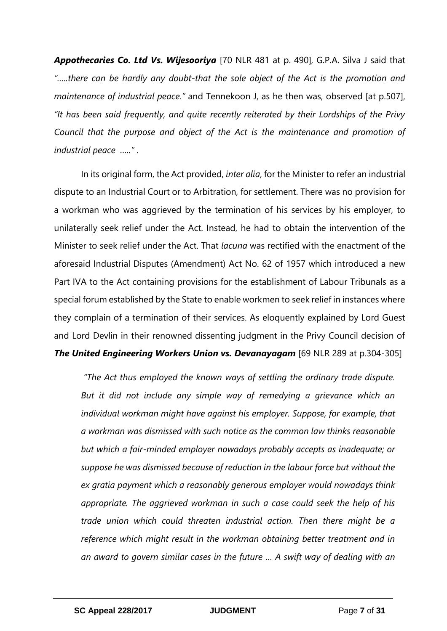*Appothecaries Co. Ltd Vs. Wijesooriya* [70 NLR 481 at p. 490], G.P.A. Silva J said that *"…..there can be hardly any doubt-that the sole object of the Act is the promotion and maintenance of industrial peace."* and Tennekoon J, as he then was, observed [at p.507], *"It has been said frequently, and quite recently reiterated by their Lordships of the Privy Council that the purpose and object of the Act is the maintenance and promotion of industrial peace ….."* .

In its original form, the Act provided, *inter alia*, for the Minister to refer an industrial dispute to an Industrial Court or to Arbitration, for settlement. There was no provision for a workman who was aggrieved by the termination of his services by his employer, to unilaterally seek relief under the Act. Instead, he had to obtain the intervention of the Minister to seek relief under the Act. That *lacuna* was rectified with the enactment of the aforesaid Industrial Disputes (Amendment) Act No. 62 of 1957 which introduced a new Part IVA to the Act containing provisions for the establishment of Labour Tribunals as a special forum established by the State to enable workmen to seek relief in instances where they complain of a termination of their services. As eloquently explained by Lord Guest and Lord Devlin in their renowned dissenting judgment in the Privy Council decision of *The United Engineering Workers Union vs. Devanayagam* [69 NLR 289 at p.304-305]

*"The Act thus employed the known ways of settling the ordinary trade dispute. But it did not include any simple way of remedying a grievance which an individual workman might have against his employer. Suppose, for example, that a workman was dismissed with such notice as the common law thinks reasonable but which a fair-minded employer nowadays probably accepts as inadequate; or suppose he was dismissed because of reduction in the labour force but without the ex gratia payment which a reasonably generous employer would nowadays think appropriate. The aggrieved workman in such a case could seek the help of his trade union which could threaten industrial action. Then there might be a reference which might result in the workman obtaining better treatment and in an award to govern similar cases in the future … A swift way of dealing with an*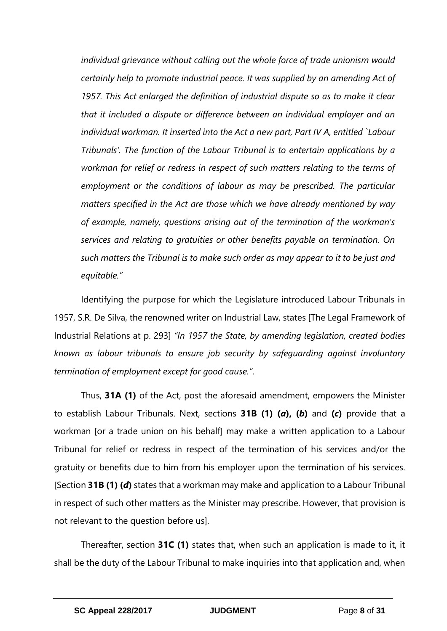*individual grievance without calling out the whole force of trade unionism would certainly help to promote industrial peace. It was supplied by an amending Act of 1957. This Act enlarged the definition of industrial dispute so as to make it clear that it included a dispute or difference between an individual employer and an individual workman. It inserted into the Act a new part, Part IV A, entitled `Labour Tribunals'. The function of the Labour Tribunal is to entertain applications by a workman for relief or redress in respect of such matters relating to the terms of employment or the conditions of labour as may be prescribed. The particular matters specified in the Act are those which we have already mentioned by way of example, namely, questions arising out of the termination of the workman's services and relating to gratuities or other benefits payable on termination. On such matters the Tribunal is to make such order as may appear to it to be just and equitable."*

Identifying the purpose for which the Legislature introduced Labour Tribunals in 1957, S.R. De Silva, the renowned writer on Industrial Law, states [The Legal Framework of Industrial Relations at p. 293] *"In 1957 the State, by amending legislation, created bodies known as labour tribunals to ensure job security by safeguarding against involuntary termination of employment except for good cause."*.

Thus, **31A (1)** of the Act, post the aforesaid amendment, empowers the Minister to establish Labour Tribunals. Next, sections **31B (1) (***a***), (***b***)** and **(***c***)** provide that a workman [or a trade union on his behalf] may make a written application to a Labour Tribunal for relief or redress in respect of the termination of his services and/or the gratuity or benefits due to him from his employer upon the termination of his services. [Section **31B (1) (***d***)** states that a workman may make and application to a Labour Tribunal in respect of such other matters as the Minister may prescribe. However, that provision is not relevant to the question before us].

Thereafter, section **31C (1)** states that, when such an application is made to it, it shall be the duty of the Labour Tribunal to make inquiries into that application and, when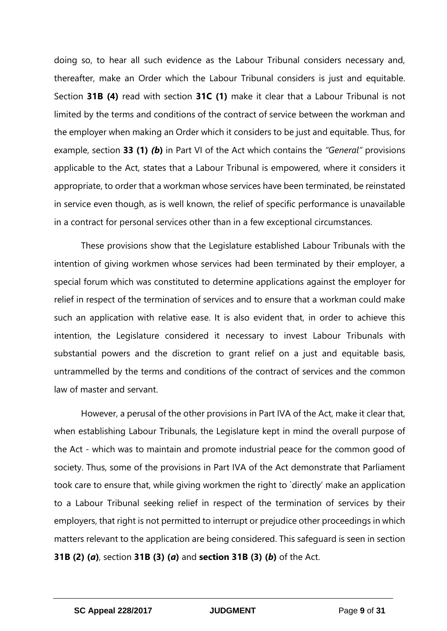doing so, to hear all such evidence as the Labour Tribunal considers necessary and, thereafter, make an Order which the Labour Tribunal considers is just and equitable. Section **31B (4)** read with section **31C (1)** make it clear that a Labour Tribunal is not limited by the terms and conditions of the contract of service between the workman and the employer when making an Order which it considers to be just and equitable. Thus, for example, section **33 (1)** *(b***)** in Part VI of the Act which contains the *"General"* provisions applicable to the Act, states that a Labour Tribunal is empowered, where it considers it appropriate, to order that a workman whose services have been terminated, be reinstated in service even though, as is well known, the relief of specific performance is unavailable in a contract for personal services other than in a few exceptional circumstances.

These provisions show that the Legislature established Labour Tribunals with the intention of giving workmen whose services had been terminated by their employer, a special forum which was constituted to determine applications against the employer for relief in respect of the termination of services and to ensure that a workman could make such an application with relative ease. It is also evident that, in order to achieve this intention, the Legislature considered it necessary to invest Labour Tribunals with substantial powers and the discretion to grant relief on a just and equitable basis, untrammelled by the terms and conditions of the contract of services and the common law of master and servant.

However, a perusal of the other provisions in Part IVA of the Act, make it clear that, when establishing Labour Tribunals, the Legislature kept in mind the overall purpose of the Act - which was to maintain and promote industrial peace for the common good of society. Thus, some of the provisions in Part IVA of the Act demonstrate that Parliament took care to ensure that, while giving workmen the right to `directly' make an application to a Labour Tribunal seeking relief in respect of the termination of services by their employers, that right is not permitted to interrupt or prejudice other proceedings in which matters relevant to the application are being considered. This safeguard is seen in section **31B (2) (***a***)**, section **31B (3) (***a***)** and **section 31B (3) (***b***)** of the Act.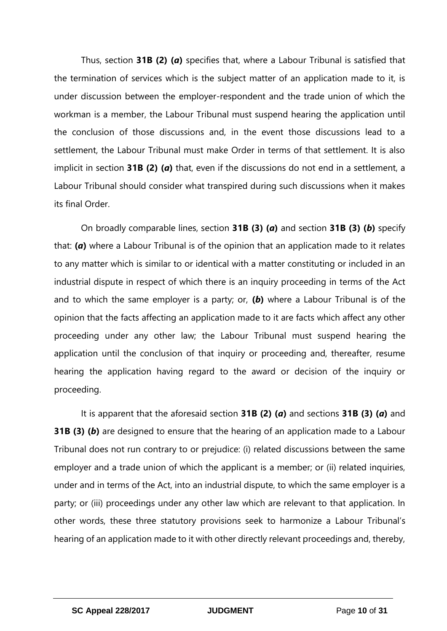Thus, section **31B (2) (***a***)** specifies that, where a Labour Tribunal is satisfied that the termination of services which is the subject matter of an application made to it, is under discussion between the employer-respondent and the trade union of which the workman is a member, the Labour Tribunal must suspend hearing the application until the conclusion of those discussions and, in the event those discussions lead to a settlement, the Labour Tribunal must make Order in terms of that settlement. It is also implicit in section **31B (2) (***a***)** that, even if the discussions do not end in a settlement, a Labour Tribunal should consider what transpired during such discussions when it makes its final Order.

On broadly comparable lines, section **31B (3) (***a***)** and section **31B (3) (***b***)** specify that: **(***a***)** where a Labour Tribunal is of the opinion that an application made to it relates to any matter which is similar to or identical with a matter constituting or included in an industrial dispute in respect of which there is an inquiry proceeding in terms of the Act and to which the same employer is a party; or, **(***b***)** where a Labour Tribunal is of the opinion that the facts affecting an application made to it are facts which affect any other proceeding under any other law; the Labour Tribunal must suspend hearing the application until the conclusion of that inquiry or proceeding and, thereafter, resume hearing the application having regard to the award or decision of the inquiry or proceeding.

It is apparent that the aforesaid section **31B (2) (***a***)** and sections **31B (3) (***a***)** and **31B (3) (***b***)** are designed to ensure that the hearing of an application made to a Labour Tribunal does not run contrary to or prejudice: (i) related discussions between the same employer and a trade union of which the applicant is a member; or (ii) related inquiries, under and in terms of the Act, into an industrial dispute, to which the same employer is a party; or (iii) proceedings under any other law which are relevant to that application. In other words, these three statutory provisions seek to harmonize a Labour Tribunal's hearing of an application made to it with other directly relevant proceedings and, thereby,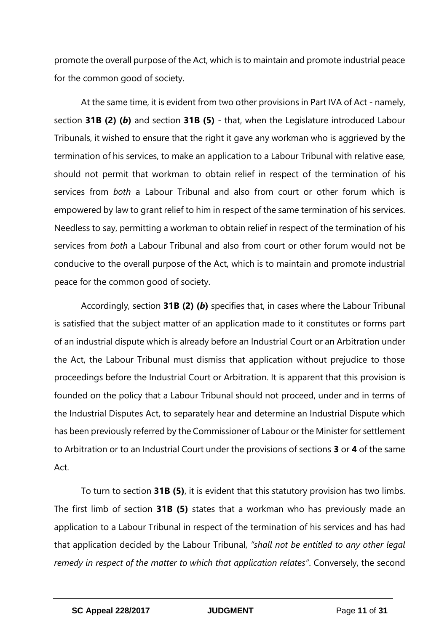promote the overall purpose of the Act, which is to maintain and promote industrial peace for the common good of society.

At the same time, it is evident from two other provisions in Part IVA of Act - namely, section **31B (2) (***b***)** and section **31B (5)** - that, when the Legislature introduced Labour Tribunals, it wished to ensure that the right it gave any workman who is aggrieved by the termination of his services, to make an application to a Labour Tribunal with relative ease, should not permit that workman to obtain relief in respect of the termination of his services from *both* a Labour Tribunal and also from court or other forum which is empowered by law to grant relief to him in respect of the same termination of his services. Needless to say, permitting a workman to obtain relief in respect of the termination of his services from *both* a Labour Tribunal and also from court or other forum would not be conducive to the overall purpose of the Act, which is to maintain and promote industrial peace for the common good of society.

Accordingly, section **31B (2) (***b***)** specifies that, in cases where the Labour Tribunal is satisfied that the subject matter of an application made to it constitutes or forms part of an industrial dispute which is already before an Industrial Court or an Arbitration under the Act, the Labour Tribunal must dismiss that application without prejudice to those proceedings before the Industrial Court or Arbitration. It is apparent that this provision is founded on the policy that a Labour Tribunal should not proceed, under and in terms of the Industrial Disputes Act, to separately hear and determine an Industrial Dispute which has been previously referred by the Commissioner of Labour or the Minister for settlement to Arbitration or to an Industrial Court under the provisions of sections **3** or **4** of the same Act.

To turn to section **31B (5)**, it is evident that this statutory provision has two limbs. The first limb of section **31B (5)** states that a workman who has previously made an application to a Labour Tribunal in respect of the termination of his services and has had that application decided by the Labour Tribunal, *"shall not be entitled to any other legal remedy in respect of the matter to which that application relates"*. Conversely, the second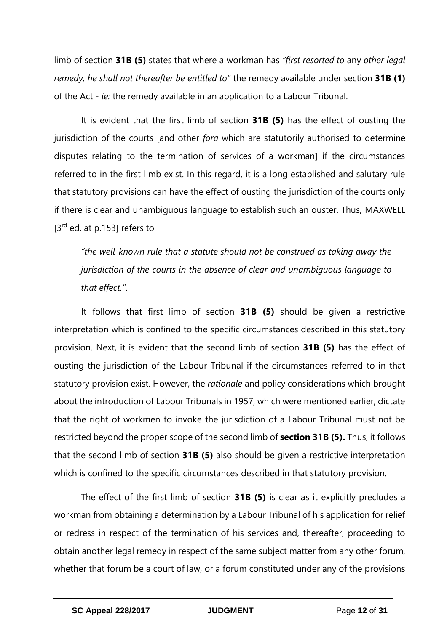limb of section **31B (5)** states that where a workman has *"first resorted to* any *other legal remedy, he shall not thereafter be entitled to"* the remedy available under section **31B (1)** of the Act - *ie:* the remedy available in an application to a Labour Tribunal.

It is evident that the first limb of section **31B (5)** has the effect of ousting the jurisdiction of the courts [and other *fora* which are statutorily authorised to determine disputes relating to the termination of services of a workman] if the circumstances referred to in the first limb exist. In this regard, it is a long established and salutary rule that statutory provisions can have the effect of ousting the jurisdiction of the courts only if there is clear and unambiguous language to establish such an ouster. Thus, MAXWELL [3<sup>rd</sup> ed. at p.153] refers to

*"the well-known rule that a statute should not be construed as taking away the jurisdiction of the courts in the absence of clear and unambiguous language to that effect."*.

It follows that first limb of section **31B (5)** should be given a restrictive interpretation which is confined to the specific circumstances described in this statutory provision. Next, it is evident that the second limb of section **31B (5)** has the effect of ousting the jurisdiction of the Labour Tribunal if the circumstances referred to in that statutory provision exist. However, the *rationale* and policy considerations which brought about the introduction of Labour Tribunals in 1957, which were mentioned earlier, dictate that the right of workmen to invoke the jurisdiction of a Labour Tribunal must not be restricted beyond the proper scope of the second limb of **section 31B (5).** Thus, it follows that the second limb of section **31B (5)** also should be given a restrictive interpretation which is confined to the specific circumstances described in that statutory provision.

The effect of the first limb of section **31B (5)** is clear as it explicitly precludes a workman from obtaining a determination by a Labour Tribunal of his application for relief or redress in respect of the termination of his services and, thereafter, proceeding to obtain another legal remedy in respect of the same subject matter from any other forum, whether that forum be a court of law, or a forum constituted under any of the provisions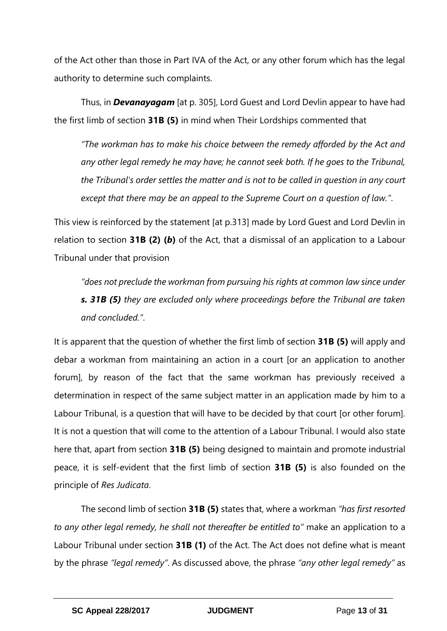of the Act other than those in Part IVA of the Act, or any other forum which has the legal authority to determine such complaints.

Thus, in *Devanayagam* [at p. 305], Lord Guest and Lord Devlin appear to have had the first limb of section **31B (5)** in mind when Their Lordships commented that

*"The workman has to make his choice between the remedy afforded by the Act and any other legal remedy he may have; he cannot seek both. If he goes to the Tribunal, the Tribunal's order settles the matter and is not to be called in question in any court except that there may be an appeal to the Supreme Court on a question of law."*.

This view is reinforced by the statement [at p.313] made by Lord Guest and Lord Devlin in relation to section **31B (2) (***b***)** of the Act, that a dismissal of an application to a Labour Tribunal under that provision

*"does not preclude the workman from pursuing his rights at common law since under s. 31B (5) they are excluded only where proceedings before the Tribunal are taken and concluded."*.

It is apparent that the question of whether the first limb of section **31B (5)** will apply and debar a workman from maintaining an action in a court [or an application to another forum], by reason of the fact that the same workman has previously received a determination in respect of the same subject matter in an application made by him to a Labour Tribunal, is a question that will have to be decided by that court [or other forum]. It is not a question that will come to the attention of a Labour Tribunal. I would also state here that, apart from section **31B (5)** being designed to maintain and promote industrial peace, it is self-evident that the first limb of section **31B (5)** is also founded on the principle of *Res Judicata*.

The second limb of section **31B (5)** states that, where a workman *"has first resorted to any other legal remedy, he shall not thereafter be entitled to"* make an application to a Labour Tribunal under section **31B (1)** of the Act. The Act does not define what is meant by the phrase *"legal remedy"*. As discussed above, the phrase *"any other legal remedy"* as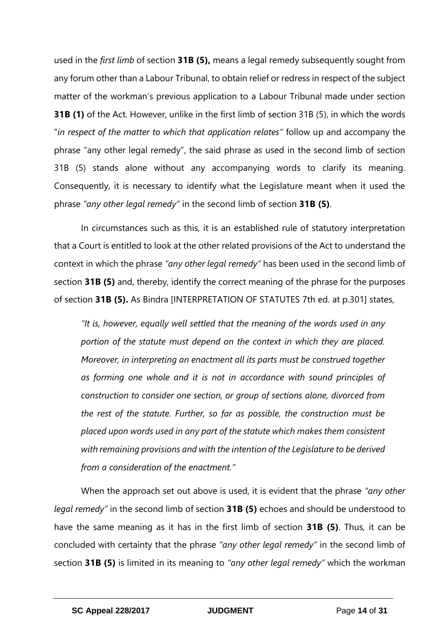used in the *first limb* of section **31B (5),** means a legal remedy subsequently sought from any forum other than a Labour Tribunal, to obtain relief or redress in respect of the subject matter of the workman's previous application to a Labour Tribunal made under section **31B (1)** of the Act. However, unlike in the first limb of section 31B (5), in which the words "*in respect of the matter to which that application relates"* follow up and accompany the phrase "any other legal remedy", the said phrase as used in the second limb of section 31B (5) stands alone without any accompanying words to clarify its meaning. Consequently, it is necessary to identify what the Legislature meant when it used the phrase *"any other legal remedy"* in the second limb of section **31B (5)**.

In circumstances such as this, it is an established rule of statutory interpretation that a Court is entitled to look at the other related provisions of the Act to understand the context in which the phrase *"any other legal remedy"* has been used in the second limb of section **31B (5)** and, thereby, identify the correct meaning of the phrase for the purposes of section **31B (5).** As Bindra [INTERPRETATION OF STATUTES 7th ed. at p.301] states,

*"It is, however, equally well settled that the meaning of the words used in any portion of the statute must depend on the context in which they are placed. Moreover, in interpreting an enactment all its parts must be construed together as forming one whole and it is not in accordance with sound principles of construction to consider one section, or group of sections alone, divorced from the rest of the statute. Further, so far as possible, the construction must be placed upon words used in any part of the statute which makes them consistent with remaining provisions and with the intention of the Legislature to be derived from a consideration of the enactment."* 

When the approach set out above is used, it is evident that the phrase *"any other legal remedy"* in the second limb of section **31B (5)** echoes and should be understood to have the same meaning as it has in the first limb of section **31B (5)**. Thus, it can be concluded with certainty that the phrase *"any other legal remedy"* in the second limb of section **31B (5)** is limited in its meaning to *"any other legal remedy"* which the workman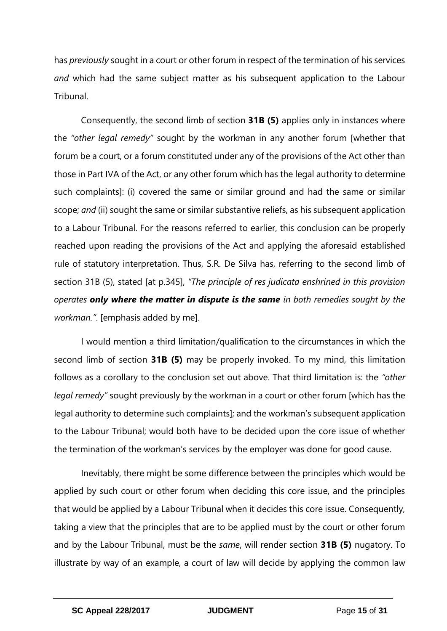has *previously* sought in a court or other forum in respect of the termination of his services *and* which had the same subject matter as his subsequent application to the Labour Tribunal.

Consequently, the second limb of section **31B (5)** applies only in instances where the *"other legal remedy"* sought by the workman in any another forum [whether that forum be a court, or a forum constituted under any of the provisions of the Act other than those in Part IVA of the Act, or any other forum which has the legal authority to determine such complaints]: (i) covered the same or similar ground and had the same or similar scope; *and* (ii) sought the same or similar substantive reliefs, as his subsequent application to a Labour Tribunal. For the reasons referred to earlier, this conclusion can be properly reached upon reading the provisions of the Act and applying the aforesaid established rule of statutory interpretation. Thus, S.R. De Silva has, referring to the second limb of section 31B (5), stated [at p.345], *"The principle of res judicata enshrined in this provision operates only where the matter in dispute is the same in both remedies sought by the workman."*. [emphasis added by me].

I would mention a third limitation/qualification to the circumstances in which the second limb of section **31B (5)** may be properly invoked. To my mind, this limitation follows as a corollary to the conclusion set out above. That third limitation is: the *"other legal remedy"* sought previously by the workman in a court or other forum [which has the legal authority to determine such complaints]; and the workman's subsequent application to the Labour Tribunal; would both have to be decided upon the core issue of whether the termination of the workman's services by the employer was done for good cause.

Inevitably, there might be some difference between the principles which would be applied by such court or other forum when deciding this core issue, and the principles that would be applied by a Labour Tribunal when it decides this core issue. Consequently, taking a view that the principles that are to be applied must by the court or other forum and by the Labour Tribunal, must be the *same*, will render section **31B (5)** nugatory. To illustrate by way of an example, a court of law will decide by applying the common law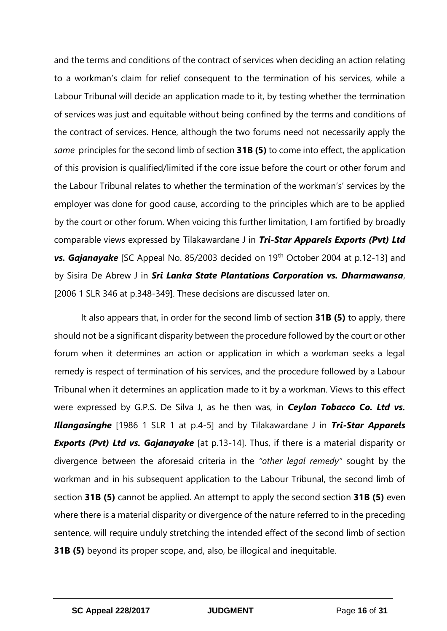and the terms and conditions of the contract of services when deciding an action relating to a workman's claim for relief consequent to the termination of his services, while a Labour Tribunal will decide an application made to it, by testing whether the termination of services was just and equitable without being confined by the terms and conditions of the contract of services. Hence, although the two forums need not necessarily apply the *same* principles for the second limb of section **31B (5)** to come into effect, the application of this provision is qualified/limited if the core issue before the court or other forum and the Labour Tribunal relates to whether the termination of the workman's' services by the employer was done for good cause, according to the principles which are to be applied by the court or other forum. When voicing this further limitation, I am fortified by broadly comparable views expressed by Tilakawardane J in *Tri-Star Apparels Exports (Pvt) Ltd*  **vs. Gajanayake** [SC Appeal No. 85/2003 decided on 19<sup>th</sup> October 2004 at p.12-13] and by Sisira De Abrew J in *Sri Lanka State Plantations Corporation vs. Dharmawansa*, [2006 1 SLR 346 at p.348-349]. These decisions are discussed later on.

It also appears that, in order for the second limb of section **31B (5)** to apply, there should not be a significant disparity between the procedure followed by the court or other forum when it determines an action or application in which a workman seeks a legal remedy is respect of termination of his services, and the procedure followed by a Labour Tribunal when it determines an application made to it by a workman. Views to this effect were expressed by G.P.S. De Silva J, as he then was, in *Ceylon Tobacco Co. Ltd vs. Illangasinghe* [1986 1 SLR 1 at p.4-5] and by Tilakawardane J in *Tri-Star Apparels*  **Exports (Pvt) Ltd vs. Gajanayake** [at p.13-14]. Thus, if there is a material disparity or divergence between the aforesaid criteria in the *"other legal remedy"* sought by the workman and in his subsequent application to the Labour Tribunal, the second limb of section **31B (5)** cannot be applied. An attempt to apply the second section **31B (5)** even where there is a material disparity or divergence of the nature referred to in the preceding sentence, will require unduly stretching the intended effect of the second limb of section **31B (5)** beyond its proper scope, and, also, be illogical and inequitable.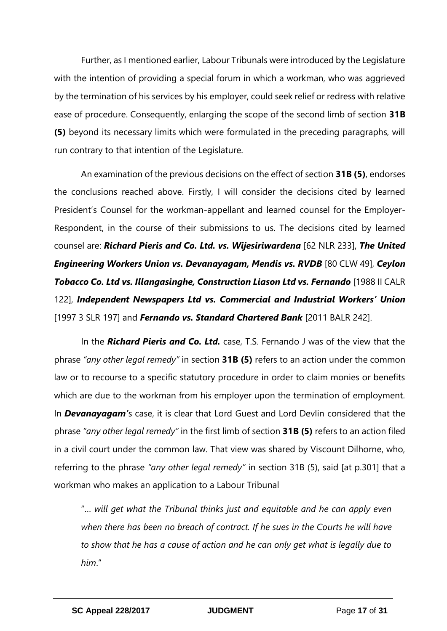Further, as I mentioned earlier, Labour Tribunals were introduced by the Legislature with the intention of providing a special forum in which a workman, who was aggrieved by the termination of his services by his employer, could seek relief or redress with relative ease of procedure. Consequently, enlarging the scope of the second limb of section **31B (5)** beyond its necessary limits which were formulated in the preceding paragraphs, will run contrary to that intention of the Legislature.

An examination of the previous decisions on the effect of section **31B (5)**, endorses the conclusions reached above. Firstly, I will consider the decisions cited by learned President's Counsel for the workman-appellant and learned counsel for the Employer-Respondent, in the course of their submissions to us. The decisions cited by learned counsel are: *Richard Pieris and Co. Ltd. vs. Wijesiriwardena* [62 NLR 233], *The United Engineering Workers Union vs. Devanayagam, Mendis vs. RVDB* [80 CLW 49], *Ceylon*  **Tobacco Co. Ltd vs. Illangasinghe, Construction Liason Ltd vs. Fernando** [1988 II CALR 122], *Independent Newspapers Ltd vs. Commercial and Industrial Workers' Union* [1997 3 SLR 197] and *Fernando vs. Standard Chartered Bank* [2011 BALR 242].

In the *Richard Pieris and Co. Ltd.* case, T.S. Fernando J was of the view that the phrase *"any other legal remedy"* in section **31B (5)** refers to an action under the common law or to recourse to a specific statutory procedure in order to claim monies or benefits which are due to the workman from his employer upon the termination of employment. In *Devanayagam'*s case, it is clear that Lord Guest and Lord Devlin considered that the phrase *"any other legal remedy"* in the first limb of section **31B (5)** refers to an action filed in a civil court under the common law. That view was shared by Viscount Dilhorne, who, referring to the phrase *"any other legal remedy"* in section 31B (5), said [at p.301] that a workman who makes an application to a Labour Tribunal

"… *will get what the Tribunal thinks just and equitable and he can apply even when there has been no breach of contract. If he sues in the Courts he will have to show that he has a cause of action and he can only get what is legally due to him*."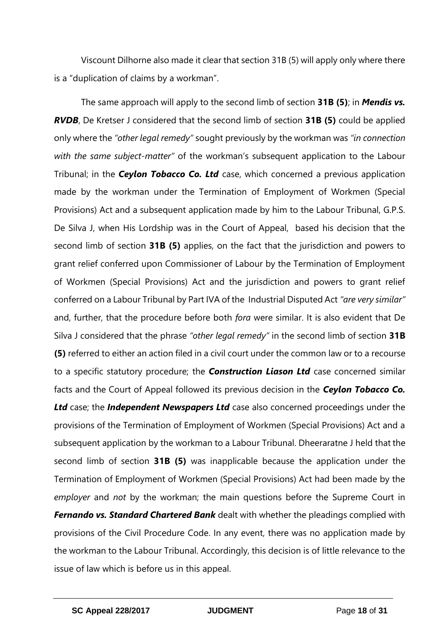Viscount Dilhorne also made it clear that section 31B (5) will apply only where there is a "duplication of claims by a workman".

The same approach will apply to the second limb of section **31B (5)**; in *Mendis vs. RVDB*, De Kretser J considered that the second limb of section **31B (5)** could be applied only where the *"other legal remedy"* sought previously by the workman was *"in connection with the same subject-matter"* of the workman's subsequent application to the Labour Tribunal; in the *Ceylon Tobacco Co. Ltd* case, which concerned a previous application made by the workman under the Termination of Employment of Workmen (Special Provisions) Act and a subsequent application made by him to the Labour Tribunal, G.P.S. De Silva J, when His Lordship was in the Court of Appeal, based his decision that the second limb of section **31B (5)** applies, on the fact that the jurisdiction and powers to grant relief conferred upon Commissioner of Labour by the Termination of Employment of Workmen (Special Provisions) Act and the jurisdiction and powers to grant relief conferred on a Labour Tribunal by Part IVA of the Industrial Disputed Act *"are very similar"* and, further, that the procedure before both *fora* were similar. It is also evident that De Silva J considered that the phrase *"other legal remedy"* in the second limb of section **31B (5)** referred to either an action filed in a civil court under the common law or to a recourse to a specific statutory procedure; the *Construction Liason Ltd* case concerned similar facts and the Court of Appeal followed its previous decision in the *Ceylon Tobacco Co. Ltd* case; the *Independent Newspapers Ltd* case also concerned proceedings under the provisions of the Termination of Employment of Workmen (Special Provisions) Act and a subsequent application by the workman to a Labour Tribunal. Dheeraratne J held that the second limb of section **31B (5)** was inapplicable because the application under the Termination of Employment of Workmen (Special Provisions) Act had been made by the *employer* and *not* by the workman; the main questions before the Supreme Court in *Fernando vs. Standard Chartered Bank* dealt with whether the pleadings complied with provisions of the Civil Procedure Code. In any event, there was no application made by the workman to the Labour Tribunal. Accordingly, this decision is of little relevance to the issue of law which is before us in this appeal.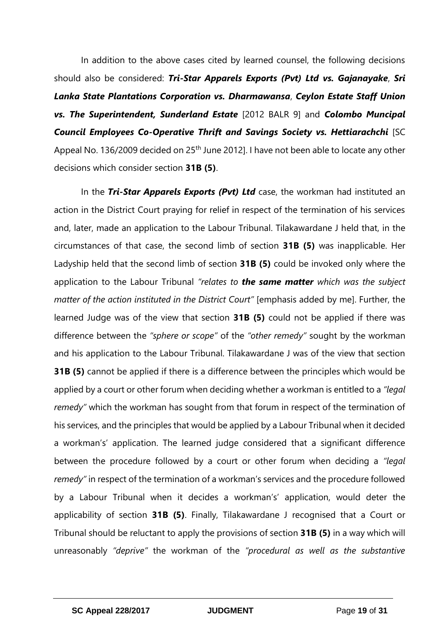In addition to the above cases cited by learned counsel, the following decisions should also be considered: *Tri-Star Apparels Exports (Pvt) Ltd vs. Gajanayake*, *Sri Lanka State Plantations Corporation vs. Dharmawansa*, *Ceylon Estate Staff Union vs. The Superintendent, Sunderland Estate* [2012 BALR 9] and *Colombo Muncipal Council Employees Co-Operative Thrift and Savings Society vs. Hettiarachchi* [SC Appeal No. 136/2009 decided on 25<sup>th</sup> June 2012]. I have not been able to locate any other decisions which consider section **31B (5)**.

In the *Tri-Star Apparels Exports (Pvt) Ltd* case, the workman had instituted an action in the District Court praying for relief in respect of the termination of his services and, later, made an application to the Labour Tribunal. Tilakawardane J held that, in the circumstances of that case, the second limb of section **31B (5)** was inapplicable. Her Ladyship held that the second limb of section **31B (5)** could be invoked only where the application to the Labour Tribunal *"relates to the same matter which was the subject matter of the action instituted in the District Court"* [emphasis added by me]. Further, the learned Judge was of the view that section **31B (5)** could not be applied if there was difference between the *"sphere or scope"* of the *"other remedy"* sought by the workman and his application to the Labour Tribunal. Tilakawardane J was of the view that section **31B (5)** cannot be applied if there is a difference between the principles which would be applied by a court or other forum when deciding whether a workman is entitled to a *"legal remedy"* which the workman has sought from that forum in respect of the termination of his services, and the principles that would be applied by a Labour Tribunal when it decided a workman's' application. The learned judge considered that a significant difference between the procedure followed by a court or other forum when deciding a *"legal remedy"* in respect of the termination of a workman's services and the procedure followed by a Labour Tribunal when it decides a workman's' application, would deter the applicability of section **31B (5)**. Finally, Tilakawardane J recognised that a Court or Tribunal should be reluctant to apply the provisions of section **31B (5)** in a way which will unreasonably *"deprive"* the workman of the *"procedural as well as the substantive*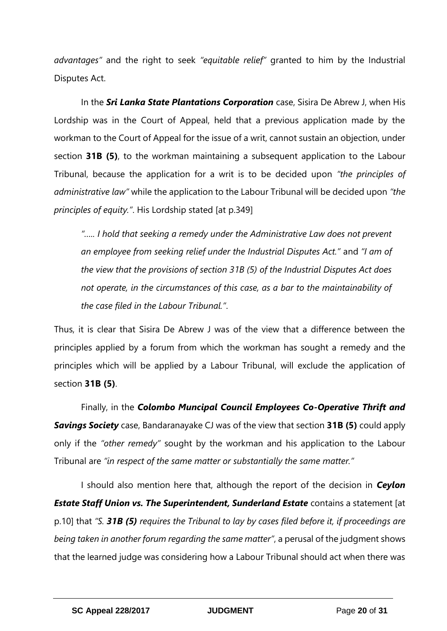*advantages"* and the right to seek *"equitable relief"* granted to him by the Industrial Disputes Act.

In the *Sri Lanka State Plantations Corporation* case, Sisira De Abrew J, when His Lordship was in the Court of Appeal, held that a previous application made by the workman to the Court of Appeal for the issue of a writ, cannot sustain an objection, under section **31B (5)**, to the workman maintaining a subsequent application to the Labour Tribunal, because the application for a writ is to be decided upon *"the principles of administrative law"* while the application to the Labour Tribunal will be decided upon *"the principles of equity."*. His Lordship stated [at p.349]

*"….. I hold that seeking a remedy under the Administrative Law does not prevent an employee from seeking relief under the Industrial Disputes Act."* and *"I am of the view that the provisions of section 31B (5) of the Industrial Disputes Act does not operate, in the circumstances of this case, as a bar to the maintainability of the case filed in the Labour Tribunal."*.

Thus, it is clear that Sisira De Abrew J was of the view that a difference between the principles applied by a forum from which the workman has sought a remedy and the principles which will be applied by a Labour Tribunal, will exclude the application of section **31B (5)**.

Finally, in the *Colombo Muncipal Council Employees Co-Operative Thrift and Savings Society* case, Bandaranayake CJ was of the view that section **31B (5)** could apply only if the *"other remedy"* sought by the workman and his application to the Labour Tribunal are *"in respect of the same matter or substantially the same matter."*

I should also mention here that, although the report of the decision in *Ceylon Estate Staff Union vs. The Superintendent, Sunderland Estate contains a statement [at* p.10] that *"S. 31B (5) requires the Tribunal to lay by cases filed before it, if proceedings are being taken in another forum regarding the same matter"*, a perusal of the judgment shows that the learned judge was considering how a Labour Tribunal should act when there was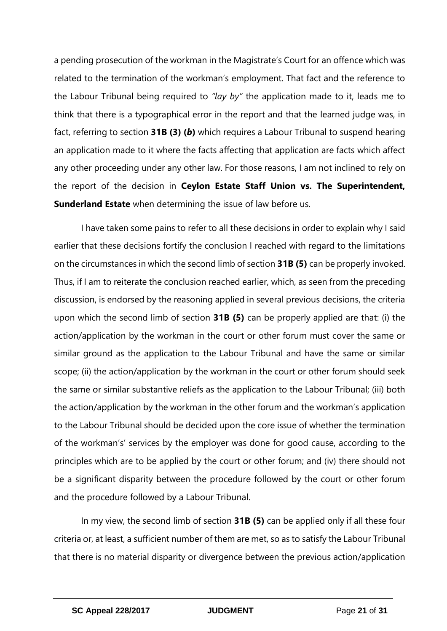a pending prosecution of the workman in the Magistrate's Court for an offence which was related to the termination of the workman's employment. That fact and the reference to the Labour Tribunal being required to *"lay by"* the application made to it, leads me to think that there is a typographical error in the report and that the learned judge was, in fact, referring to section **31B (3) (***b***)** which requires a Labour Tribunal to suspend hearing an application made to it where the facts affecting that application are facts which affect any other proceeding under any other law. For those reasons, I am not inclined to rely on the report of the decision in **Ceylon Estate Staff Union vs. The Superintendent, Sunderland Estate** when determining the issue of law before us.

I have taken some pains to refer to all these decisions in order to explain why I said earlier that these decisions fortify the conclusion I reached with regard to the limitations on the circumstances in which the second limb of section **31B (5)** can be properly invoked. Thus, if I am to reiterate the conclusion reached earlier, which, as seen from the preceding discussion, is endorsed by the reasoning applied in several previous decisions, the criteria upon which the second limb of section **31B (5)** can be properly applied are that: (i) the action/application by the workman in the court or other forum must cover the same or similar ground as the application to the Labour Tribunal and have the same or similar scope; (ii) the action/application by the workman in the court or other forum should seek the same or similar substantive reliefs as the application to the Labour Tribunal; (iii) both the action/application by the workman in the other forum and the workman's application to the Labour Tribunal should be decided upon the core issue of whether the termination of the workman's' services by the employer was done for good cause, according to the principles which are to be applied by the court or other forum; and (iv) there should not be a significant disparity between the procedure followed by the court or other forum and the procedure followed by a Labour Tribunal.

In my view, the second limb of section **31B (5)** can be applied only if all these four criteria or, at least, a sufficient number of them are met, so as to satisfy the Labour Tribunal that there is no material disparity or divergence between the previous action/application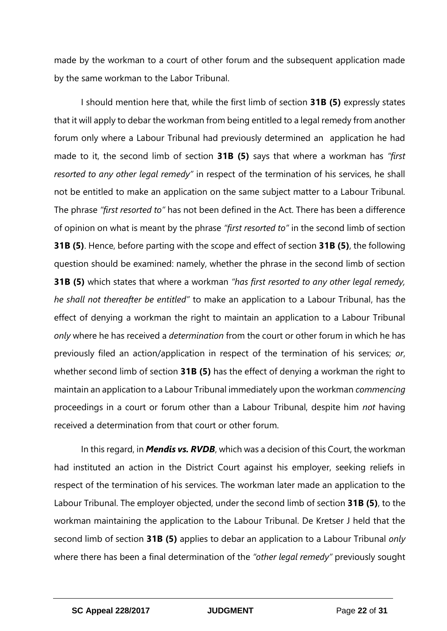made by the workman to a court of other forum and the subsequent application made by the same workman to the Labor Tribunal.

I should mention here that, while the first limb of section **31B (5)** expressly states that it will apply to debar the workman from being entitled to a legal remedy from another forum only where a Labour Tribunal had previously determined an application he had made to it, the second limb of section **31B (5)** says that where a workman has *"first resorted to any other legal remedy"* in respect of the termination of his services, he shall not be entitled to make an application on the same subject matter to a Labour Tribunal. The phrase *"first resorted to"* has not been defined in the Act. There has been a difference of opinion on what is meant by the phrase *"first resorted to"* in the second limb of section **31B (5)**. Hence, before parting with the scope and effect of section **31B (5)**, the following question should be examined: namely, whether the phrase in the second limb of section **31B (5)** which states that where a workman *"has first resorted to any other legal remedy, he shall not thereafter be entitled"* to make an application to a Labour Tribunal, has the effect of denying a workman the right to maintain an application to a Labour Tribunal *only* where he has received a *determination* from the court or other forum in which he has previously filed an action/application in respect of the termination of his services; *or*, whether second limb of section **31B (5)** has the effect of denying a workman the right to maintain an application to a Labour Tribunal immediately upon the workman *commencing* proceedings in a court or forum other than a Labour Tribunal, despite him *not* having received a determination from that court or other forum.

In this regard, in *Mendis vs. RVDB*, which was a decision of this Court, the workman had instituted an action in the District Court against his employer, seeking reliefs in respect of the termination of his services. The workman later made an application to the Labour Tribunal. The employer objected, under the second limb of section **31B (5)**, to the workman maintaining the application to the Labour Tribunal. De Kretser J held that the second limb of section **31B (5)** applies to debar an application to a Labour Tribunal *only* where there has been a final determination of the *"other legal remedy"* previously sought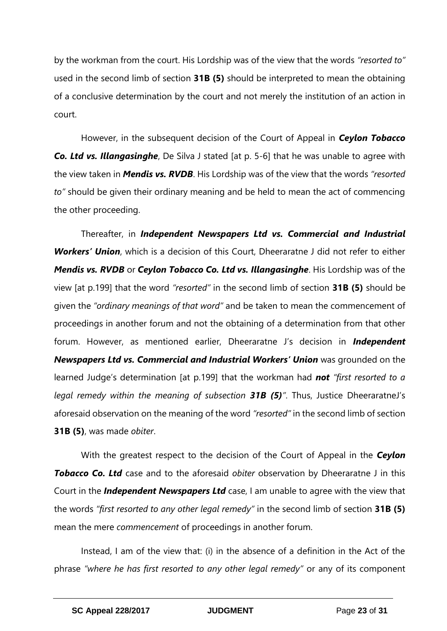by the workman from the court. His Lordship was of the view that the words *"resorted to"*  used in the second limb of section **31B (5)** should be interpreted to mean the obtaining of a conclusive determination by the court and not merely the institution of an action in court.

However, in the subsequent decision of the Court of Appeal in *Ceylon Tobacco*  **Co. Ltd vs. Illangasinghe**, De Silva J stated [at p. 5-6] that he was unable to agree with the view taken in *Mendis vs. RVDB*. His Lordship was of the view that the words *"resorted to"* should be given their ordinary meaning and be held to mean the act of commencing the other proceeding.

Thereafter, in *Independent Newspapers Ltd vs. Commercial and Industrial Workers' Union*, which is a decision of this Court, Dheeraratne J did not refer to either *Mendis vs. RVDB* or *Ceylon Tobacco Co. Ltd vs. Illangasinghe*. His Lordship was of the view [at p.199] that the word *"resorted"* in the second limb of section **31B (5)** should be given the *"ordinary meanings of that word"* and be taken to mean the commencement of proceedings in another forum and not the obtaining of a determination from that other forum. However, as mentioned earlier, Dheeraratne J's decision in *Independent Newspapers Ltd vs. Commercial and Industrial Workers' Union* was grounded on the learned Judge's determination [at p.199] that the workman had *not "first resorted to a legal remedy within the meaning of subsection 31B (5)"*. Thus, Justice DheeraratneJ's aforesaid observation on the meaning of the word *"resorted"* in the second limb of section **31B (5)**, was made *obiter*.

With the greatest respect to the decision of the Court of Appeal in the *Ceylon*  **Tobacco Co. Ltd** case and to the aforesaid *obiter* observation by Dheeraratne J in this Court in the *Independent Newspapers Ltd* case, I am unable to agree with the view that the words *"first resorted to any other legal remedy"* in the second limb of section **31B (5)**  mean the mere *commencement* of proceedings in another forum.

Instead, I am of the view that: (i) in the absence of a definition in the Act of the phrase *"where he has first resorted to any other legal remedy"* or any of its component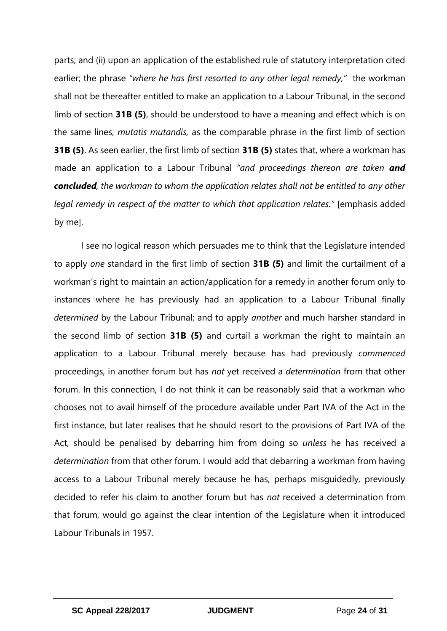parts; and (ii) upon an application of the established rule of statutory interpretation cited earlier; the phrase *"where he has first resorted to any other legal remedy,"* the workman shall not be thereafter entitled to make an application to a Labour Tribunal, in the second limb of section **31B (5)**, should be understood to have a meaning and effect which is on the same lines, *mutatis mutandis,* as the comparable phrase in the first limb of section **31B (5)**. As seen earlier, the first limb of section **31B (5)** states that, where a workman has made an application to a Labour Tribunal *"and proceedings thereon are taken and concluded, the workman to whom the application relates shall not be entitled to any other legal remedy in respect of the matter to which that application relates."* [emphasis added by me].

I see no logical reason which persuades me to think that the Legislature intended to apply *one* standard in the first limb of section **31B (5)** and limit the curtailment of a workman's right to maintain an action/application for a remedy in another forum only to instances where he has previously had an application to a Labour Tribunal finally *determined* by the Labour Tribunal; and to apply *another* and much harsher standard in the second limb of section **31B (5)** and curtail a workman the right to maintain an application to a Labour Tribunal merely because has had previously *commenced*  proceedings, in another forum but has *not* yet received a *determination* from that other forum. In this connection, I do not think it can be reasonably said that a workman who chooses not to avail himself of the procedure available under Part IVA of the Act in the first instance, but later realises that he should resort to the provisions of Part IVA of the Act, should be penalised by debarring him from doing so *unless* he has received a *determination* from that other forum. I would add that debarring a workman from having access to a Labour Tribunal merely because he has, perhaps misguidedly, previously decided to refer his claim to another forum but has *not* received a determination from that forum, would go against the clear intention of the Legislature when it introduced Labour Tribunals in 1957.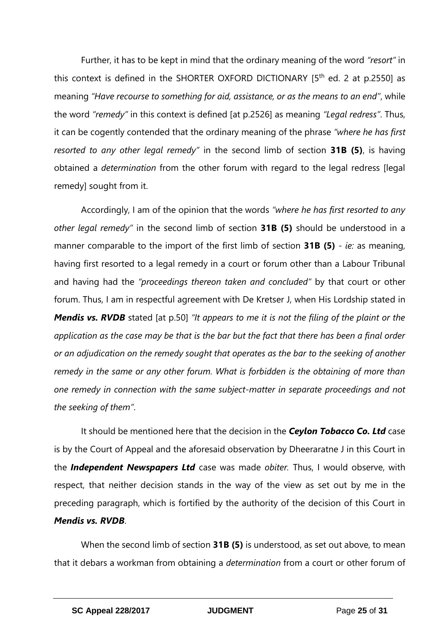Further, it has to be kept in mind that the ordinary meaning of the word *"resort"* in this context is defined in the SHORTER OXFORD DICTIONARY  $15<sup>th</sup>$  ed. 2 at p.2550] as meaning *"Have recourse to something for aid, assistance, or as the means to an end"*, while the word *"remedy"* in this context is defined [at p.2526] as meaning *"Legal redress"*. Thus, it can be cogently contended that the ordinary meaning of the phrase *"where he has first resorted to any other legal remedy"* in the second limb of section **31B (5)**, is having obtained a *determination* from the other forum with regard to the legal redress [legal remedy] sought from it.

Accordingly, I am of the opinion that the words *"where he has first resorted to any other legal remedy"* in the second limb of section **31B (5)** should be understood in a manner comparable to the import of the first limb of section **31B (5)** - *ie:* as meaning, having first resorted to a legal remedy in a court or forum other than a Labour Tribunal and having had the *"proceedings thereon taken and concluded"* by that court or other forum. Thus, I am in respectful agreement with De Kretser J, when His Lordship stated in *Mendis vs. RVDB* stated [at p.50] "It appears to me it is not the filing of the plaint or the *application as the case may be that is the bar but the fact that there has been a final order or an adjudication on the remedy sought that operates as the bar to the seeking of another remedy in the same or any other forum. What is forbidden is the obtaining of more than one remedy in connection with the same subject-matter in separate proceedings and not the seeking of them"*.

It should be mentioned here that the decision in the *Ceylon Tobacco Co. Ltd* case is by the Court of Appeal and the aforesaid observation by Dheeraratne J in this Court in the *Independent Newspapers Ltd* case was made *obiter.* Thus, I would observe, with respect, that neither decision stands in the way of the view as set out by me in the preceding paragraph, which is fortified by the authority of the decision of this Court in *Mendis vs. RVDB*.

When the second limb of section **31B (5)** is understood, as set out above, to mean that it debars a workman from obtaining a *determination* from a court or other forum of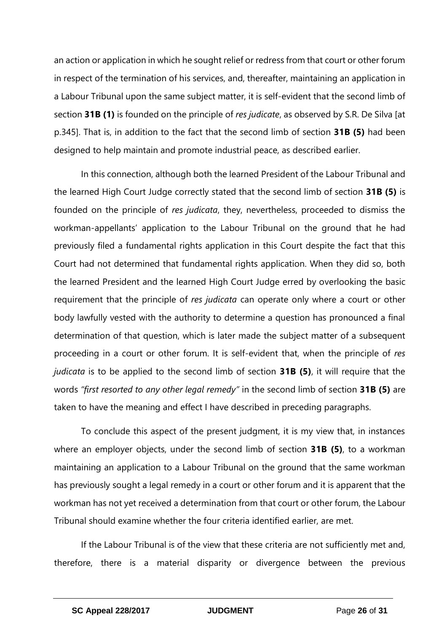an action or application in which he sought relief or redress from that court or other forum in respect of the termination of his services, and, thereafter, maintaining an application in a Labour Tribunal upon the same subject matter, it is self-evident that the second limb of section **31B (1)** is founded on the principle of *res judicate*, as observed by S.R. De Silva [at p.345]. That is, in addition to the fact that the second limb of section **31B (5)** had been designed to help maintain and promote industrial peace, as described earlier.

In this connection, although both the learned President of the Labour Tribunal and the learned High Court Judge correctly stated that the second limb of section **31B (5)** is founded on the principle of *res judicata*, they, nevertheless, proceeded to dismiss the workman-appellants' application to the Labour Tribunal on the ground that he had previously filed a fundamental rights application in this Court despite the fact that this Court had not determined that fundamental rights application. When they did so, both the learned President and the learned High Court Judge erred by overlooking the basic requirement that the principle of *res judicata* can operate only where a court or other body lawfully vested with the authority to determine a question has pronounced a final determination of that question, which is later made the subject matter of a subsequent proceeding in a court or other forum. It is self-evident that, when the principle of *res judicata* is to be applied to the second limb of section **31B (5)**, it will require that the words *"first resorted to any other legal remedy"* in the second limb of section **31B (5)** are taken to have the meaning and effect I have described in preceding paragraphs.

To conclude this aspect of the present judgment, it is my view that, in instances where an employer objects, under the second limb of section **31B (5)**, to a workman maintaining an application to a Labour Tribunal on the ground that the same workman has previously sought a legal remedy in a court or other forum and it is apparent that the workman has not yet received a determination from that court or other forum, the Labour Tribunal should examine whether the four criteria identified earlier, are met.

If the Labour Tribunal is of the view that these criteria are not sufficiently met and, therefore, there is a material disparity or divergence between the previous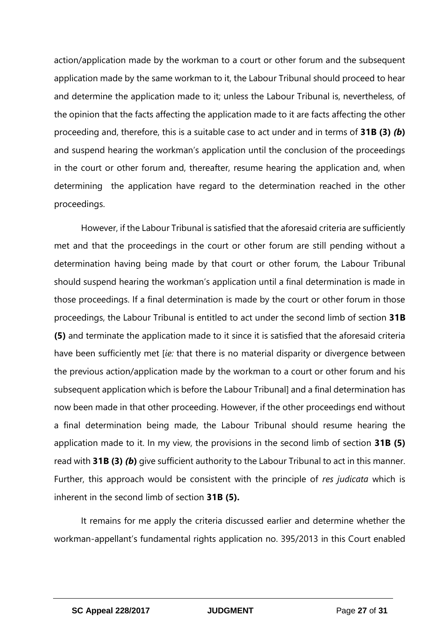action/application made by the workman to a court or other forum and the subsequent application made by the same workman to it, the Labour Tribunal should proceed to hear and determine the application made to it; unless the Labour Tribunal is, nevertheless, of the opinion that the facts affecting the application made to it are facts affecting the other proceeding and, therefore, this is a suitable case to act under and in terms of **31B (3)** *(b***)** and suspend hearing the workman's application until the conclusion of the proceedings in the court or other forum and, thereafter, resume hearing the application and, when determining the application have regard to the determination reached in the other proceedings.

However, if the Labour Tribunal is satisfied that the aforesaid criteria are sufficiently met and that the proceedings in the court or other forum are still pending without a determination having being made by that court or other forum, the Labour Tribunal should suspend hearing the workman's application until a final determination is made in those proceedings. If a final determination is made by the court or other forum in those proceedings, the Labour Tribunal is entitled to act under the second limb of section **31B (5)** and terminate the application made to it since it is satisfied that the aforesaid criteria have been sufficiently met [*ie:* that there is no material disparity or divergence between the previous action/application made by the workman to a court or other forum and his subsequent application which is before the Labour Tribunal] and a final determination has now been made in that other proceeding. However, if the other proceedings end without a final determination being made, the Labour Tribunal should resume hearing the application made to it. In my view, the provisions in the second limb of section **31B (5)** read with **31B (3)** *(b***)** give sufficient authority to the Labour Tribunal to act in this manner. Further, this approach would be consistent with the principle of *res judicata* which is inherent in the second limb of section **31B (5).**

It remains for me apply the criteria discussed earlier and determine whether the workman-appellant's fundamental rights application no. 395/2013 in this Court enabled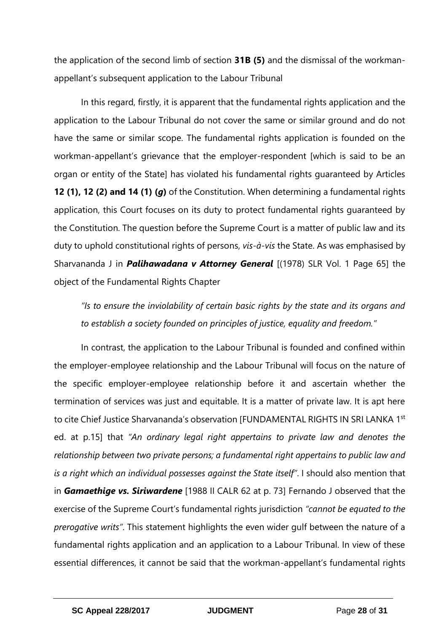the application of the second limb of section **31B (5)** and the dismissal of the workmanappellant's subsequent application to the Labour Tribunal

In this regard, firstly, it is apparent that the fundamental rights application and the application to the Labour Tribunal do not cover the same or similar ground and do not have the same or similar scope. The fundamental rights application is founded on the workman-appellant's grievance that the employer-respondent [which is said to be an organ or entity of the State] has violated his fundamental rights guaranteed by Articles **12 (1), 12 (2) and 14 (1) (***g***)** of the Constitution. When determining a fundamental rights application, this Court focuses on its duty to protect fundamental rights guaranteed by the Constitution. The question before the Supreme Court is a matter of public law and its duty to uphold constitutional rights of persons, *vis-à-vis* the State. As was emphasised by Sharvananda J in *Palihawadana v Attorney General* [(1978) SLR Vol. 1 Page 65] the object of the Fundamental Rights Chapter

*"Is to ensure the inviolability of certain basic rights by the state and its organs and to establish a society founded on principles of justice, equality and freedom."* 

In contrast, the application to the Labour Tribunal is founded and confined within the employer-employee relationship and the Labour Tribunal will focus on the nature of the specific employer-employee relationship before it and ascertain whether the termination of services was just and equitable. It is a matter of private law. It is apt here to cite Chief Justice Sharvananda's observation [FUNDAMENTAL RIGHTS IN SRI LANKA 1st ed. at p.15] that *"An ordinary legal right appertains to private law and denotes the relationship between two private persons; a fundamental right appertains to public law and is a right which an individual possesses against the State itself"*. I should also mention that in *Gamaethige vs. Siriwardene* [1988 II CALR 62 at p. 73] Fernando J observed that the exercise of the Supreme Court's fundamental rights jurisdiction *"cannot be equated to the prerogative writs"*. This statement highlights the even wider gulf between the nature of a fundamental rights application and an application to a Labour Tribunal. In view of these essential differences, it cannot be said that the workman-appellant's fundamental rights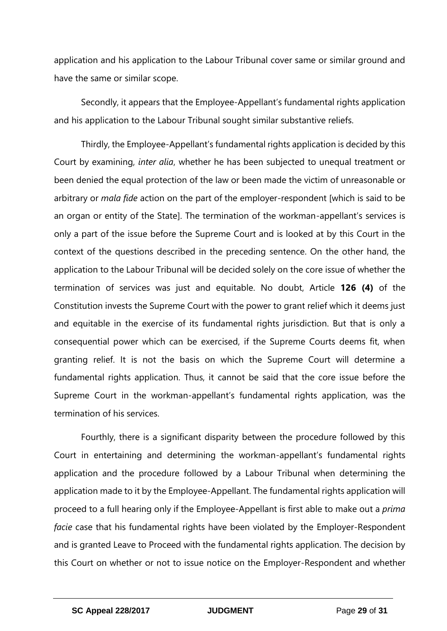application and his application to the Labour Tribunal cover same or similar ground and have the same or similar scope.

Secondly, it appears that the Employee-Appellant's fundamental rights application and his application to the Labour Tribunal sought similar substantive reliefs.

Thirdly, the Employee-Appellant's fundamental rights application is decided by this Court by examining, *inter alia*, whether he has been subjected to unequal treatment or been denied the equal protection of the law or been made the victim of unreasonable or arbitrary or *mala fide* action on the part of the employer-respondent [which is said to be an organ or entity of the State]. The termination of the workman-appellant's services is only a part of the issue before the Supreme Court and is looked at by this Court in the context of the questions described in the preceding sentence. On the other hand, the application to the Labour Tribunal will be decided solely on the core issue of whether the termination of services was just and equitable. No doubt, Article **126 (4)** of the Constitution invests the Supreme Court with the power to grant relief which it deems just and equitable in the exercise of its fundamental rights jurisdiction. But that is only a consequential power which can be exercised, if the Supreme Courts deems fit, when granting relief. It is not the basis on which the Supreme Court will determine a fundamental rights application. Thus, it cannot be said that the core issue before the Supreme Court in the workman-appellant's fundamental rights application, was the termination of his services.

Fourthly, there is a significant disparity between the procedure followed by this Court in entertaining and determining the workman-appellant's fundamental rights application and the procedure followed by a Labour Tribunal when determining the application made to it by the Employee-Appellant. The fundamental rights application will proceed to a full hearing only if the Employee-Appellant is first able to make out a *prima facie* case that his fundamental rights have been violated by the Employer-Respondent and is granted Leave to Proceed with the fundamental rights application. The decision by this Court on whether or not to issue notice on the Employer-Respondent and whether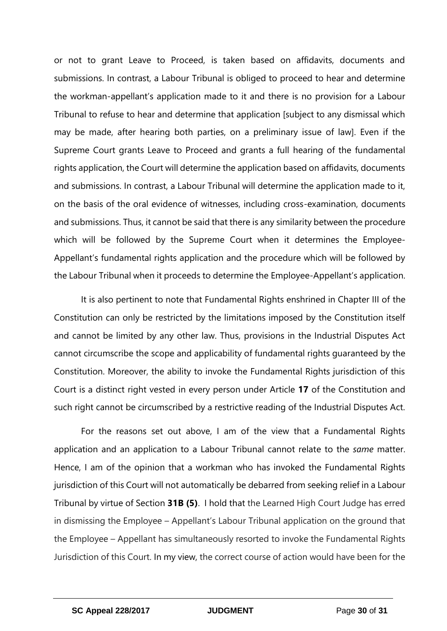or not to grant Leave to Proceed, is taken based on affidavits, documents and submissions. In contrast, a Labour Tribunal is obliged to proceed to hear and determine the workman-appellant's application made to it and there is no provision for a Labour Tribunal to refuse to hear and determine that application [subject to any dismissal which may be made, after hearing both parties, on a preliminary issue of law]. Even if the Supreme Court grants Leave to Proceed and grants a full hearing of the fundamental rights application, the Court will determine the application based on affidavits, documents and submissions. In contrast, a Labour Tribunal will determine the application made to it, on the basis of the oral evidence of witnesses, including cross-examination, documents and submissions. Thus, it cannot be said that there is any similarity between the procedure which will be followed by the Supreme Court when it determines the Employee-Appellant's fundamental rights application and the procedure which will be followed by the Labour Tribunal when it proceeds to determine the Employee-Appellant's application.

It is also pertinent to note that Fundamental Rights enshrined in Chapter III of the Constitution can only be restricted by the limitations imposed by the Constitution itself and cannot be limited by any other law. Thus, provisions in the Industrial Disputes Act cannot circumscribe the scope and applicability of fundamental rights guaranteed by the Constitution. Moreover, the ability to invoke the Fundamental Rights jurisdiction of this Court is a distinct right vested in every person under Article **17** of the Constitution and such right cannot be circumscribed by a restrictive reading of the Industrial Disputes Act.

For the reasons set out above, I am of the view that a Fundamental Rights application and an application to a Labour Tribunal cannot relate to the *same* matter. Hence, I am of the opinion that a workman who has invoked the Fundamental Rights jurisdiction of this Court will not automatically be debarred from seeking relief in a Labour Tribunal by virtue of Section **31B (5)**. I hold that the Learned High Court Judge has erred in dismissing the Employee – Appellant's Labour Tribunal application on the ground that the Employee – Appellant has simultaneously resorted to invoke the Fundamental Rights Jurisdiction of this Court. In my view, the correct course of action would have been for the